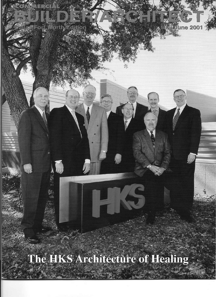## The HKS Architecture of Healing

pera

e 2001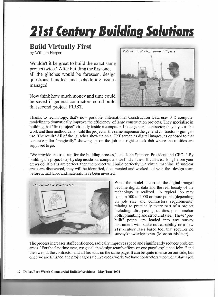## **21st Century Building Solutions**

## **Build Virtually First**

by William Harper

Wouldn't it be great to build the exact same project twice? After building the first one, all the glitches would be foreseen, design questions handled and scheduling issues managed.

Now think how much money and time could be saved if general contractors could build that second project FIRST.



Thanks to technology, that's now possible. International Construction Data uses 3-D computer modeling to dramatically improve the efficiency of large construction projects. They specialize in building that "first project" virtually inside a computer. Like a general contractor, they layout the work and then methodically build the project in the same sequence the general contractor is going to use. The result? All of the glitches show up on a CRT screen as digital images, as opposed to that concrete pillar "magically" showing up on the job site right smack dab where the utilities are supposed to go.

"We provide the trial run for the building process," said John Spencer, President and CEO, " By building the project step by step inside our computers we find all the difficult areas long before your crews do. If plans are perfect, then the project will build perfectly in a virtual machine. If unclear areas are discovered, they will be identified, documented and worked out with the design team before actual labor and materials have been invested.



become digital data and the real beauty of the technology is realized. "A typical job may contain 500 to 5000 or more points (depending on job size and contractors requirements) relating to practically every part of a project including dirt, paving, utilities, piers, anchor bolts, plumbing and structural steel. These "prebuilt" points are loaded into any survey instrument with stake out capability or a new 21 st century laser based tool that requires no survey knowledge to run. (More on this later).

The process increases staff confidence, radically improves speed and significantly reduces problem areas. "For the first time ever, we get all the design team's efforts on one page" explained John, " and then we put the contractor and all his subs on the same page. It can be quite intense on our side, but once we are finished, the project goes up like clock work. We have contractors who won't start ajob